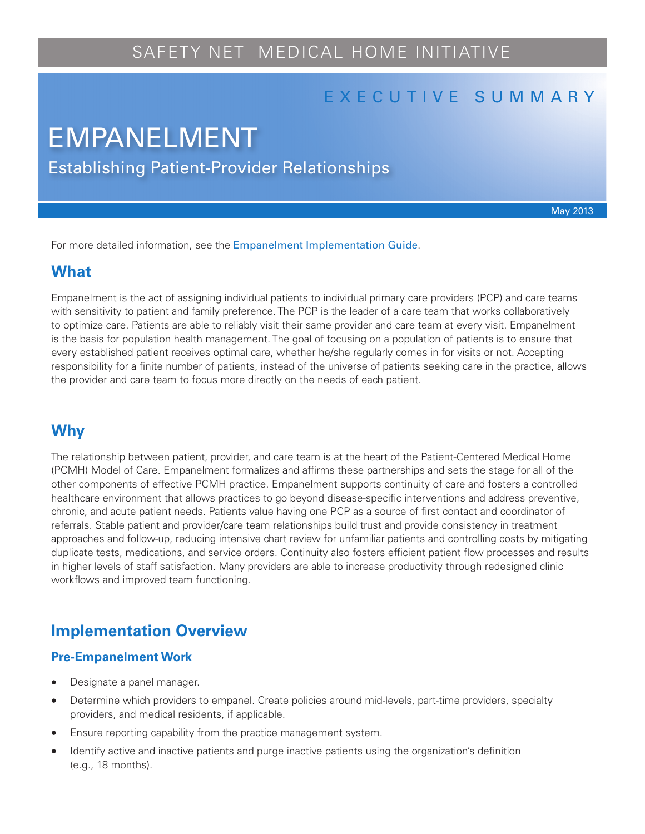# SAFETY NET MEDICAL HOME INITIATIVE

# E X E C U T I V E S U M M A R Y

# Establishing Patient-Provider Relationships EMPANELMENT

May 2013

For more detailed information, see the [Empanelment Implementation Guide](http://www.safetynetmedicalhome.org/sites/default/files/Implementation-Guide-Empanelment.pdf).

### **What**

Empanelment is the act of assigning individual patients to individual primary care providers (PCP) and care teams with sensitivity to patient and family preference. The PCP is the leader of a care team that works collaboratively to optimize care. Patients are able to reliably visit their same provider and care team at every visit. Empanelment is the basis for population health management. The goal of focusing on a population of patients is to ensure that every established patient receives optimal care, whether he/she regularly comes in for visits or not. Accepting responsibility for a finite number of patients, instead of the universe of patients seeking care in the practice, allows the provider and care team to focus more directly on the needs of each patient.

# **Why**

The relationship between patient, provider, and care team is at the heart of the Patient-Centered Medical Home (PCMH) Model of Care. Empanelment formalizes and affirms these partnerships and sets the stage for all of the other components of effective PCMH practice. Empanelment supports continuity of care and fosters a controlled healthcare environment that allows practices to go beyond disease-specific interventions and address preventive, chronic, and acute patient needs. Patients value having one PCP as a source of first contact and coordinator of referrals. Stable patient and provider/care team relationships build trust and provide consistency in treatment approaches and follow-up, reducing intensive chart review for unfamiliar patients and controlling costs by mitigating duplicate tests, medications, and service orders. Continuity also fosters efficient patient flow processes and results in higher levels of staff satisfaction. Many providers are able to increase productivity through redesigned clinic workflows and improved team functioning.

## **Implementation Overview**

#### **Pre-Empanelment Work**

- Designate a panel manager.
- Determine which providers to empanel. Create policies around mid-levels, part-time providers, specialty providers, and medical residents, if applicable.
- Ensure reporting capability from the practice management system.
- Identify active and inactive patients and purge inactive patients using the organization's definition (e.g., 18 months).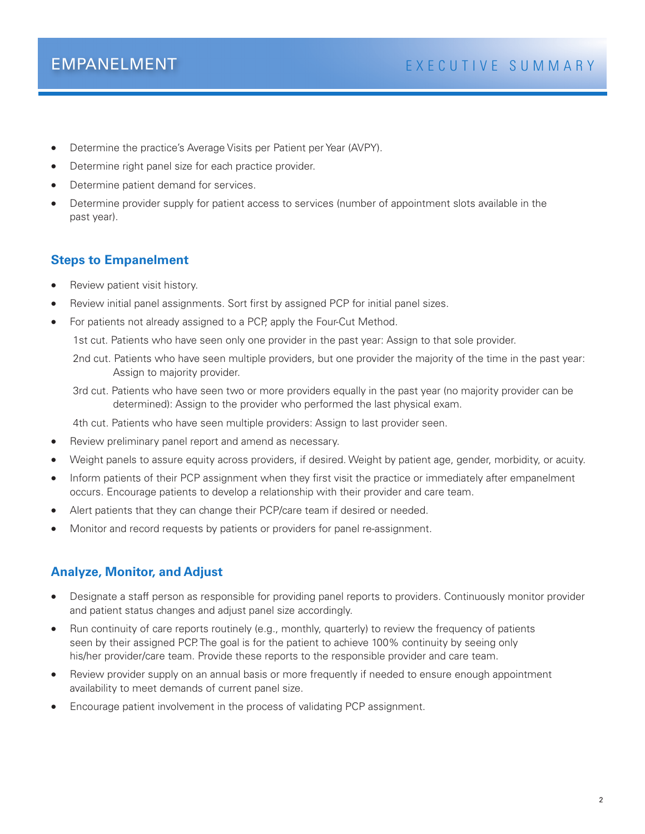- Determine the practice's Average Visits per Patient per Year (AVPY).
- Determine right panel size for each practice provider.
- Determine patient demand for services.
- Determine provider supply for patient access to services (number of appointment slots available in the past year).

### **Steps to Empanelment**

- Review patient visit history.
- Review initial panel assignments. Sort first by assigned PCP for initial panel sizes.
- For patients not already assigned to a PCP, apply the Four-Cut Method.

1st cut. Patients who have seen only one provider in the past year: Assign to that sole provider.

2nd cut. Patients who have seen multiple providers, but one provider the majority of the time in the past year: Assign to majority provider.

3rd cut. Patients who have seen two or more providers equally in the past year (no majority provider can be determined): Assign to the provider who performed the last physical exam.

4th cut. Patients who have seen multiple providers: Assign to last provider seen.

- Review preliminary panel report and amend as necessary.
- Weight panels to assure equity across providers, if desired. Weight by patient age, gender, morbidity, or acuity.
- Inform patients of their PCP assignment when they first visit the practice or immediately after empanelment occurs. Encourage patients to develop a relationship with their provider and care team.
- Alert patients that they can change their PCP/care team if desired or needed.
- Monitor and record requests by patients or providers for panel re-assignment.

#### **Analyze, Monitor, and Adjust**

- Designate a staff person as responsible for providing panel reports to providers. Continuously monitor provider and patient status changes and adjust panel size accordingly.
- Run continuity of care reports routinely (e.g., monthly, quarterly) to review the frequency of patients seen by their assigned PCP. The goal is for the patient to achieve 100% continuity by seeing only his/her provider/care team. Provide these reports to the responsible provider and care team.
- Review provider supply on an annual basis or more frequently if needed to ensure enough appointment availability to meet demands of current panel size.
- Encourage patient involvement in the process of validating PCP assignment.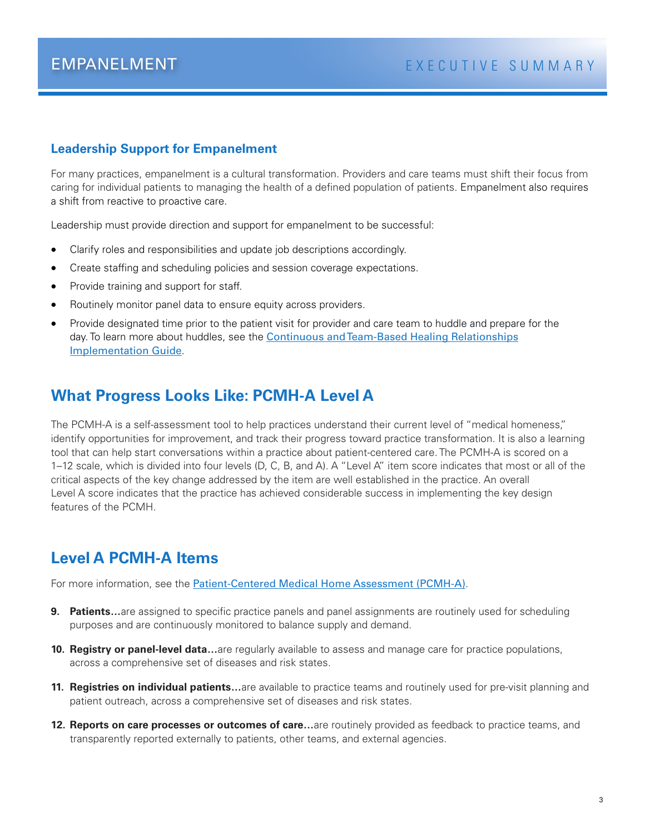#### **Leadership Support for Empanelment**

For many practices, empanelment is a cultural transformation. Providers and care teams must shift their focus from caring for individual patients to managing the health of a defined population of patients. Empanelment also requires a shift from reactive to proactive care.

Leadership must provide direction and support for empanelment to be successful:

- Clarify roles and responsibilities and update job descriptions accordingly.
- Create staffing and scheduling policies and session coverage expectations.
- Provide training and support for staff.
- Routinely monitor panel data to ensure equity across providers.
- Provide designated time prior to the patient visit for provider and care team to huddle and prepare for the day. To learn more about huddles, see the [Continuous and Team-Based Healing Relationships](http://www.safetynetmedicalhome.org/sites/default/files/Implementation-Guide-Team-Based-Care.pdf) [Implementation Guide](http://www.safetynetmedicalhome.org/sites/default/files/Implementation-Guide-Team-Based-Care.pdf).

## **What Progress Looks Like: PCMH-A Level A**

The PCMH-A is a self-assessment tool to help practices understand their current level of "medical homeness," identify opportunities for improvement, and track their progress toward practice transformation. It is also a learning tool that can help start conversations within a practice about patient-centered care. The PCMH-A is scored on a 1–12 scale, which is divided into four levels (D, C, B, and A). A "Level A" item score indicates that most or all of the critical aspects of the key change addressed by the item are well established in the practice. An overall Level A score indicates that the practice has achieved considerable success in implementing the key design features of the PCMH.

# **Level A PCMH-A Items**

For more information, see the [Patient-Centered Medical Home Assessment \(PCMH-A\)](http://www.safetynetmedicalhome.org/sites/default/files/PCMH-A.pdf).

- **9. Patients...**are assigned to specific practice panels and panel assignments are routinely used for scheduling purposes and are continuously monitored to balance supply and demand.
- **10. Registry or panel-level data…**are regularly available to assess and manage care for practice populations, across a comprehensive set of diseases and risk states.
- **11. Registries on individual patients…**are available to practice teams and routinely used for pre-visit planning and patient outreach, across a comprehensive set of diseases and risk states.
- **12. Reports on care processes or outcomes of care…**are routinely provided as feedback to practice teams, and transparently reported externally to patients, other teams, and external agencies.